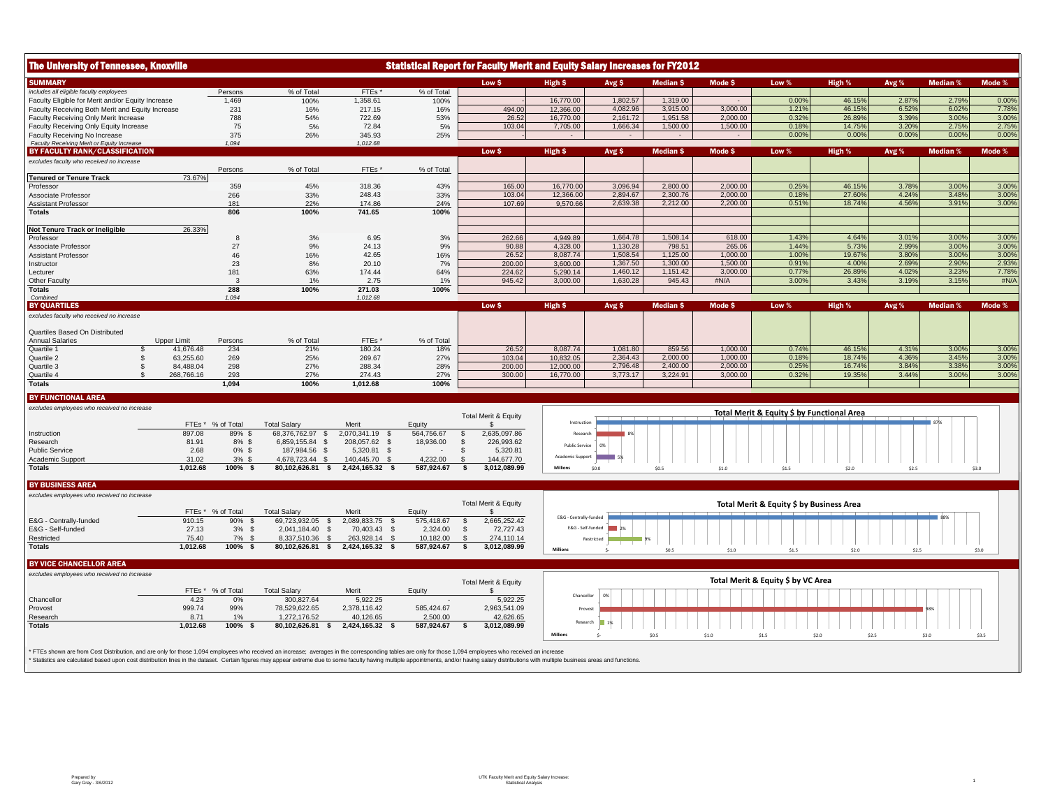| <b>The University of Tennessee, Knoxville</b>                               |                          |                |                                        |                                  |                          | <b>Statistical Report for Faculty Merit and Equity Salary Increases for FY2012</b> |                        |                      |                    |                  |                                            |                 |                |                 |                |
|-----------------------------------------------------------------------------|--------------------------|----------------|----------------------------------------|----------------------------------|--------------------------|------------------------------------------------------------------------------------|------------------------|----------------------|--------------------|------------------|--------------------------------------------|-----------------|----------------|-----------------|----------------|
| <b>SUMMARY</b>                                                              |                          |                |                                        |                                  |                          | Low \$                                                                             | High \$                | Avg \$               | <b>Median S</b>    | Mode \$          | Low %                                      | High %          | Avg %          | <b>Median %</b> | Mode %         |
| includes all eligible faculty employees                                     |                          | Persons        | % of Total                             | FTEs'                            | % of Total               |                                                                                    |                        |                      |                    |                  |                                            |                 |                |                 |                |
| Faculty Eligible for Merit and/or Equity Increase                           |                          | 1,469          | 100%                                   | 1,358.61                         | 100%                     |                                                                                    | 16,770.00              | 1,802.57             | 1,319.00           |                  | 0.00%                                      | 46.15%          | 2.87%          | 2.79%           | 0.00%          |
| Faculty Receiving Both Merit and Equity Increase                            |                          | 231            | 16%                                    | 217.15                           | 16%                      | 494.00                                                                             | 12,366.00              | 4.082.96             | 3.915.00           | 3.000.00         | 1.21%                                      | 46.15%          | 6.52%          | 6.02%           | 7.78%          |
| Faculty Receiving Only Merit Increase                                       |                          | 788            | 54%                                    | 722.69                           | 53%                      | 26.52                                                                              | 16,770.00              | 2,161.72             | 1,951.58           | 2.000.00         | 0.32%                                      | 26.89%          | 3.39%          | 3.00%           | 3.00%          |
| Faculty Receiving Only Equity Increase                                      |                          | 75<br>375      | 5%                                     | 72.84                            | 5%                       | 103.04                                                                             | 7,705.00               | 1,666.34             | 1,500.00<br>$\sim$ | 1,500.00         | 0.18%<br>0.00%                             | 14.75%<br>0.00% | 3.20%<br>0.00% | 2.75%<br>0.00%  | 2.75%<br>0.00% |
| Faculty Receiving No Increase<br>Faculty Receiving Merit or Equity Increase |                          | 1.094          | 26%                                    | 345.93<br>1,012.68               | 25%                      |                                                                                    | $\sim$                 | $\sim$               |                    |                  |                                            |                 |                |                 |                |
| BY FACULTY RANK/CLASSIFICATION                                              |                          |                |                                        |                                  |                          | Low \$                                                                             | High \$                | Avg \$               | <b>Median \$</b>   | Mode \$          | Low %                                      | High %          | Avg %          | <b>Median %</b> | Mode %         |
| excludes faculty who received no increase                                   |                          |                |                                        |                                  |                          |                                                                                    |                        |                      |                    |                  |                                            |                 |                |                 |                |
|                                                                             |                          | Persons        | % of Total                             | FTEs*                            | % of Total               |                                                                                    |                        |                      |                    |                  |                                            |                 |                |                 |                |
| <b>Tenured or Tenure Track</b>                                              | 73.67%                   |                |                                        |                                  |                          |                                                                                    |                        |                      |                    |                  |                                            |                 |                |                 |                |
| Professor                                                                   |                          | 359            | 45%                                    | 318.36                           | 43%                      | 165.00                                                                             | 16,770.00              | 3,096.94             | 2,800.00           | 2,000.00         | 0.25%                                      | 46.15%          | 3.78%          | 3.00%           | 3.00%          |
| Associate Professor                                                         |                          | 266            | 33%                                    | 248.43                           | 33%                      | 103.04                                                                             | 12.366.00              | 2.894.67             | 2.300.76           | 2.000.00         | 0.18%                                      | 27.60%          | 4.24%          | 3.48%           | 3.00%          |
| <b>Assistant Professor</b>                                                  |                          | 181            | 22%                                    | 174.86                           | 24%                      | 107.69                                                                             | 9,570.66               | 2,639.38             | 2,212.00           | 2,200.00         | 0.51%                                      | 18.74%          | 4.56%          | 3.91%           | 3.00%          |
| <b>Totals</b>                                                               |                          | 806            | 100%                                   | 741.65                           | 100%                     |                                                                                    |                        |                      |                    |                  |                                            |                 |                |                 |                |
|                                                                             |                          |                |                                        |                                  |                          |                                                                                    |                        |                      |                    |                  |                                            |                 |                |                 |                |
| Not Tenure Track or Ineligible                                              | 26.33%                   |                |                                        |                                  |                          |                                                                                    |                        |                      |                    |                  |                                            |                 |                |                 |                |
| Professor                                                                   |                          | -8             | 3%                                     | 6.95                             | 3%                       | 262.66                                                                             | 4,949.89               | 1,664.78<br>1.130.28 | 1,508.14<br>798.51 | 618.00<br>265.06 | 1.43%<br>1.44%                             | 4.64%<br>5.73%  | 3.01%<br>2.99% | 3.00%<br>3.00%  | 3.00%<br>3.00% |
| Associate Professor                                                         |                          | 27             | 9%                                     | 24.13<br>42.65                   | 9%                       | 90.88<br>26.52                                                                     | 4,328.00<br>8,087.74   | 1,508.54             | 1,125.00           | 1,000.00         | 1.00%                                      | 19.67%          | 3.80%          | 3.00%           | 3.00%          |
| <b>Assistant Professor</b><br>Instructor                                    |                          | 46<br>23       | 16%<br>8%                              | 20.10                            | 16%<br>7%                | 200.00                                                                             | 3,600.00               | 1,367.50             | 1,300.00           | 1,500.00         | 0.91%                                      | 4.00%           | 2.69%          | 2.90%           | 2.93%          |
| Lecturer                                                                    |                          | 181            | 63%                                    | 174.44                           | 64%                      | 224.62                                                                             | 5,290.14               | 1,460.12             | 1,151.42           | 3,000.00         | 0.77%                                      | 26.89%          | 4.02%          | 3.23%           | 7.78%          |
| Other Faculty                                                               |                          | -3             | 1%                                     | 2.75                             | 1%                       | 945.42                                                                             | 3.000.00               | 1.630.28             | 945.43             | #N/A             | 3.00%                                      | 3.43%           | 3.19%          | 3.15%           | #N/A           |
| <b>Totals</b>                                                               |                          | 288            | 100%                                   | 271.03                           | 100%                     |                                                                                    |                        |                      |                    |                  |                                            |                 |                |                 |                |
| Combined                                                                    |                          | 1.094          |                                        | 1.012.68                         |                          |                                                                                    |                        |                      |                    |                  |                                            |                 |                |                 |                |
| <b>BY QUARTILES</b>                                                         |                          |                |                                        |                                  |                          | Low \$                                                                             | High \$                | Avg \$               | <b>Median \$</b>   | Mode \$          | Low %                                      | High %          | Avg %          | <b>Median %</b> | Mode %         |
| excludes faculty who received no increase                                   |                          |                |                                        |                                  |                          |                                                                                    |                        |                      |                    |                  |                                            |                 |                |                 |                |
| Quartiles Based On Distributed                                              |                          |                |                                        |                                  |                          |                                                                                    |                        |                      |                    |                  |                                            |                 |                |                 |                |
| <b>Annual Salaries</b><br>Quartile 1                                        | Upper Limit<br>41,676.48 | Persons<br>234 | % of Total<br>21%                      | FTEs'<br>180.24                  | % of Total<br>18%        | 26.52                                                                              | 8,087.74               | 1,081.80             | 859.56             | 1.000.00         | 0.74%                                      | 46.15%          | 4.31%          | 3.00%           | 3.00%          |
| Quartile 2                                                                  | 63,255.60                | 269            | 25%                                    | 269.67                           | 27%                      | 103.04                                                                             | 10,832.05              | 2,364.43             | 2,000.00           | 1,000.00         | 0.18%                                      | 18.74%          | 4.36%          | 3.45%           | 3.00%          |
| Quartile 3<br>$\mathfrak{F}$                                                | 84.488.04                | 298            | 27%                                    | 288.34                           | 28%                      | 200.00                                                                             | 12,000.00              | 2,796.48             | 2.400.00           | 2.000.00         | 0.25%                                      | 16.74%          | 3.84%          | 3.38%           | 3.00%          |
| Quartile 4<br>$\mathfrak{L}$                                                | 268,766.16               | 293            | 27%                                    | 274.43                           | 27%                      | 300.00                                                                             | 16,770.00              | 3,773.17             | 3,224.91           | 3.000.00         | 0.32%                                      | 19.35%          | 3.44%          | 3.00%           | 3.00%          |
| <b>Totals</b>                                                               |                          | 1.094          | 100%                                   | 1,012.68                         | 100%                     |                                                                                    |                        |                      |                    |                  |                                            |                 |                |                 |                |
|                                                                             |                          |                |                                        |                                  |                          |                                                                                    |                        |                      |                    |                  |                                            |                 |                |                 |                |
| <b>BY FUNCTIONAL AREA</b>                                                   |                          |                |                                        |                                  |                          |                                                                                    |                        |                      |                    |                  |                                            |                 |                |                 |                |
| excludes employees who received no increase                                 |                          |                |                                        |                                  |                          | <b>Total Merit &amp; Equity</b>                                                    |                        |                      |                    |                  | Total Merit & Equity \$ by Functional Area |                 |                |                 |                |
|                                                                             | FTEs*                    | % of Total     | <b>Total Salary</b>                    | Merit                            | Equity                   | -SS                                                                                | Instruction            |                      |                    |                  |                                            |                 |                | 87%             |                |
| Instruction                                                                 | 897.08                   | 89% \$         | 68,376,762.97 \$                       | 2,070,341.19 \$                  | 564,756.67               | $\mathbb{S}$<br>2,635,097.86                                                       | Research               |                      |                    |                  |                                            |                 |                |                 |                |
| Research                                                                    | 81.91                    | $8\%$ \$       | 6,859,155.84 \$                        | 208.057.62 \$                    | 18,936.00                | \$<br>226,993.62                                                                   |                        |                      |                    |                  |                                            |                 |                |                 |                |
| <b>Public Service</b>                                                       | 2.68                     | $0\%$ \$       | 187,984.56<br>- \$                     | 5.320.81<br>$\mathcal{S}$        |                          | 5,320.81<br>- \$                                                                   | <b>Public Service</b>  | 0%                   |                    |                  |                                            |                 |                |                 |                |
| Academic Support                                                            | 31.02                    | $3%$ \$        | 4,678,723.44 \$                        | 140,445.70<br>- \$               | 4,232.00                 | 144,677.70<br>- \$                                                                 | Academic Support       |                      |                    |                  |                                            |                 |                |                 |                |
| <b>Totals</b>                                                               | 1,012.68                 | 100% \$        |                                        | 80,102,626.81 \$ 2,424,165.32 \$ | 587,924.67               | 3,012,089.99<br>$\sim$                                                             | Millions               | \$0.0                | \$0.5              | \$1.0            | \$1.5                                      | \$2.0           | \$2.5          |                 | \$3.0          |
|                                                                             |                          |                |                                        |                                  |                          |                                                                                    |                        |                      |                    |                  |                                            |                 |                |                 |                |
| <b>BY BUSINESS AREA</b>                                                     |                          |                |                                        |                                  |                          |                                                                                    |                        |                      |                    |                  |                                            |                 |                |                 |                |
| excludes employees who received no increase                                 |                          |                |                                        |                                  |                          |                                                                                    |                        |                      |                    |                  |                                            |                 |                |                 |                |
|                                                                             |                          |                |                                        |                                  |                          | <b>Total Merit &amp; Equity</b>                                                    |                        |                      |                    |                  | Total Merit & Equity \$ by Business Area   |                 |                |                 |                |
|                                                                             | FTEs*                    | % of Total     | <b>Total Salary</b>                    | Merit                            | Equity                   | -S                                                                                 | E&G - Centrally-funded |                      |                    |                  |                                            |                 |                |                 |                |
| E&G - Centrally-funded                                                      | 910.15                   | 90%<br>- \$    | 69.723.932.05<br>-S                    | 2.089.833.75 \$                  | 575.418.67               | 2.665.252.42<br>S.                                                                 |                        | E&G - Self-funded    |                    |                  |                                            |                 |                |                 |                |
| E&G - Self-funded                                                           | 27.13                    | 3%<br>\$       | 2,041,184.40<br>- \$                   | 70,403.43<br>\$                  | 2,324.00                 | 72,727.43<br>-S                                                                    |                        | $\overline{2\%}$     |                    |                  |                                            |                 |                |                 |                |
| Restricted<br><b>Totals</b>                                                 | 75.40<br>1.012.68        | 7%<br>. ድ      | 8.337.510.36<br>-S<br>80,102,626.81 \$ | 263.928.14<br><b>S</b>           | 10.182.00                | 274.110.14                                                                         |                        | Restricted           |                    |                  |                                            |                 |                |                 |                |
|                                                                             |                          | 100% \$        |                                        | 2,424,165.32 \$                  | 587,924.67               | s.<br>3,012,089.99                                                                 | Million:               |                      | \$0.5              | \$1.0            | \$1.5                                      | \$2.0           | \$2.5          |                 | \$3.0          |
| <b>BY VICE CHANCELLOR AREA</b>                                              |                          |                |                                        |                                  |                          |                                                                                    |                        |                      |                    |                  |                                            |                 |                |                 |                |
|                                                                             |                          |                |                                        |                                  |                          |                                                                                    |                        |                      |                    |                  |                                            |                 |                |                 |                |
| excludes employees who received no increase                                 |                          |                |                                        |                                  |                          | <b>Total Merit &amp; Equity</b>                                                    |                        |                      |                    |                  | Total Merit & Equity \$ by VC Area         |                 |                |                 |                |
|                                                                             | FTEs*                    | % of Total     | <b>Total Salary</b>                    | Merit                            | Equity                   | \$                                                                                 |                        |                      |                    |                  |                                            |                 |                |                 |                |
| Chancellor                                                                  | 4.23                     | 0%             | 300,827.64                             | 5,922.25                         | $\overline{\phantom{a}}$ | 5,922.25                                                                           | Chancellor             | n%                   |                    |                  |                                            |                 |                |                 |                |
| Provost                                                                     | 999.74                   | 99%            | 78,529,622.65                          | 2,378,116.42                     | 585,424.67               | 2,963,541.09                                                                       |                        | Provost              |                    |                  |                                            |                 |                |                 |                |
|                                                                             |                          | 1%             | 1,272,176.52                           | 40,126.65                        | 2,500.00                 | 42,626.65                                                                          |                        |                      |                    |                  |                                            |                 |                |                 |                |
| Research                                                                    | 8.71                     |                |                                        |                                  |                          |                                                                                    |                        |                      |                    |                  |                                            |                 |                |                 |                |
| <b>Totals</b>                                                               | 1,012.68                 | 100% \$        | 80,102,626.81<br>- S                   | 2,424,165.32 \$                  | 587,924.67               | 3,012,089.99<br>s.                                                                 |                        | Research             |                    |                  |                                            |                 |                |                 |                |
|                                                                             |                          |                |                                        |                                  |                          |                                                                                    | <b>Million</b>         |                      | \$0.5              | \$1.0            | \$1.5                                      | \$2.0           | 52.5           | \$3.0           | \$3.5          |